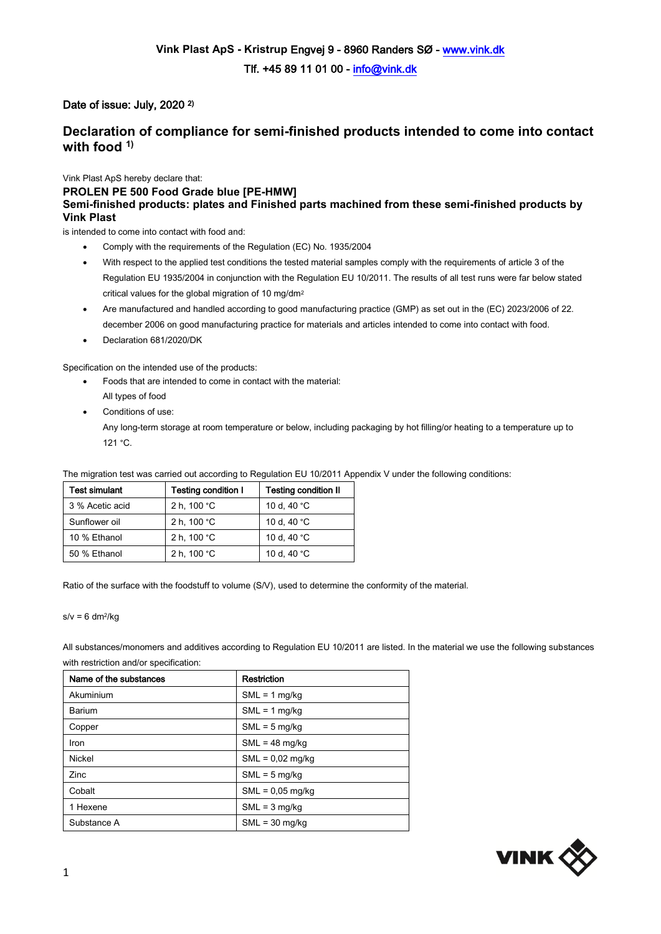## Date of issue: July, 2020<sup>2)</sup>

## **Declaration of compliance for semi-finished products intended to come into contact with food 1)**

Vink Plast ApS hereby declare that:

**PROLEN PE 500 Food Grade blue [PE-HMW] Semi-finished products: plates and Finished parts machined from these semi-finished products by Vink Plast**

is intended to come into contact with food and:

- Comply with the requirements of the Regulation (EC) No. 1935/2004
- With respect to the applied test conditions the tested material samples comply with the requirements of article 3 of the Regulation EU 1935/2004 in conjunction with the Regulation EU 10/2011. The results of all test runs were far below stated critical values for the global migration of 10 mg/dm<sup>2</sup>
- Are manufactured and handled according to good manufacturing practice (GMP) as set out in the (EC) 2023/2006 of 22. december 2006 on good manufacturing practice for materials and articles intended to come into contact with food.
- Declaration 681/2020/DK

Specification on the intended use of the products:

- Foods that are intended to come in contact with the material:
	- All types of food
- Conditions of use:

Any long-term storage at room temperature or below, including packaging by hot filling/or heating to a temperature up to 121 °C.

The migration test was carried out according to Regulation EU 10/2011 Appendix V under the following conditions:

| <b>Test simulant</b> | <b>Testing condition I</b> | <b>Testing condition II</b> |
|----------------------|----------------------------|-----------------------------|
| 3 % Acetic acid      | 2 h, 100 °C                | 10 d, 40 °C                 |
| Sunflower oil        | 2 h, 100 °C                | 10 d, 40 °C                 |
| 10 % Ethanol         | 2 h, 100 °C                | 10 d, 40 °C                 |
| 50 % Ethanol         | 2 h, 100 °C                | 10 d, 40 °C                 |

Ratio of the surface with the foodstuff to volume (S/V), used to determine the conformity of the material.

 $s/v = 6$  dm<sup>2</sup>/kg

All substances/monomers and additives according to Regulation EU 10/2011 are listed. In the material we use the following substances with restriction and/or specification:

| Name of the substances | <b>Restriction</b> |
|------------------------|--------------------|
| Akuminium              | $SML = 1$ mg/kg    |
| Barium                 | $SML = 1$ mg/kg    |
| Copper                 | $SML = 5$ mg/kg    |
| Iron                   | $SML = 48$ mg/kg   |
| Nickel                 | $SML = 0.02$ mg/kg |
| <b>Zinc</b>            | $SML = 5$ mg/kg    |
| Cobalt                 | $SML = 0.05$ mg/kg |
| 1 Hexene               | $SML = 3$ mg/kg    |
| Substance A            | $SML = 30$ mg/kg   |